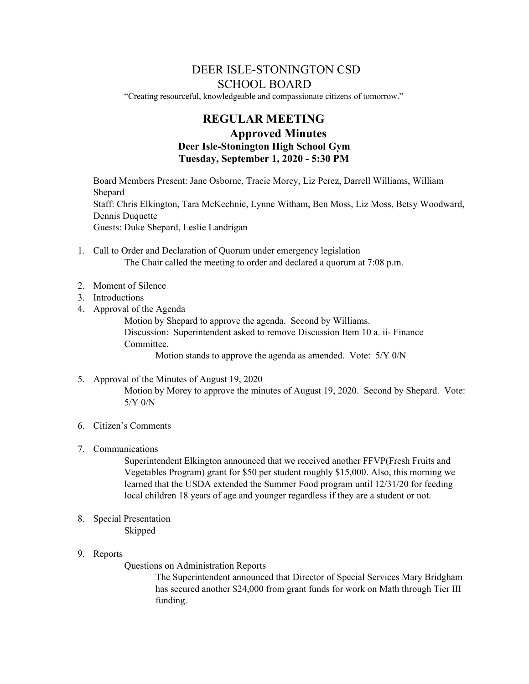# DEER ISLE-STONINGTON CSD SCHOOL BOARD

"Creating resourceful, knowledgeable and compassionate citizens of tomorrow."

# **REGULAR MEETING Approved Minutes Deer Isle-Stonington High School Gym Tuesday, September 1, 2020 - 5:30 PM**

Board Members Present: Jane Osborne, Tracie Morey, Liz Perez, Darrell Williams, William Shepard Staff: Chris Elkington, Tara McKechnie, Lynne Witham, Ben Moss, Liz Moss, Betsy Woodward, Dennis Duquette Guests: Duke Shepard, Leslie Landrigan

- 1. Call to Order and Declaration of Quorum under emergency legislation The Chair called the meeting to order and declared a quorum at 7:08 p.m.
- 2. Moment of Silence
- 3. Introductions
- 4. Approval of the Agenda

Motion by Shepard to approve the agenda. Second by Williams. Discussion: Superintendent asked to remove Discussion Item 10 a. ii- Finance Committee.

Motion stands to approve the agenda as amended. Vote: 5/Y 0/N

5. Approval of the Minutes of August 19, 2020

Motion by Morey to approve the minutes of August 19, 2020. Second by Shepard. Vote: 5/Y 0/N

- 6. Citizen's Comments
- 7. Communications

Superintendent Elkington announced that we received another FFVP(Fresh Fruits and Vegetables Program) grant for \$50 per student roughly \$15,000. Also, this morning we learned that the USDA extended the Summer Food program until 12/31/20 for feeding local children 18 years of age and younger regardless if they are a student or not.

- 8. Special Presentation Skipped
- 9. Reports

Questions on Administration Reports

The Superintendent announced that Director of Special Services Mary Bridgham has secured another \$24,000 from grant funds for work on Math through Tier III funding.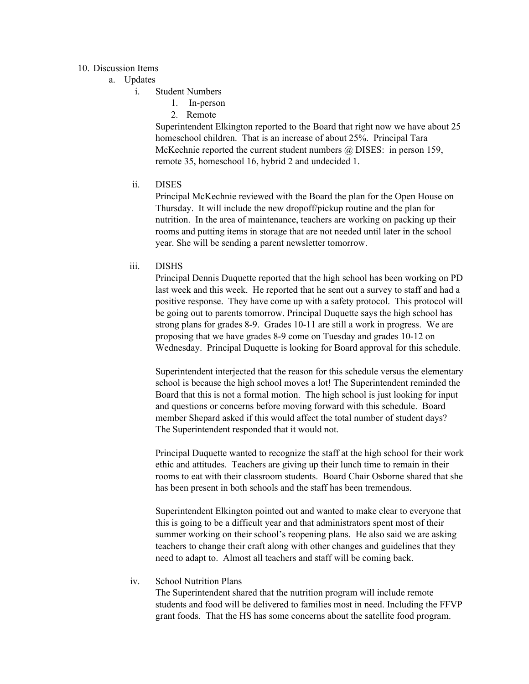## 10. Discussion Items

- a. Updates
	- i. Student Numbers
		- 1. In-person
		- 2. Remote

Superintendent Elkington reported to the Board that right now we have about 25 homeschool children. That is an increase of about 25%. Principal Tara McKechnie reported the current student numbers @ DISES: in person 159, remote 35, homeschool 16, hybrid 2 and undecided 1.

ii. DISES

Principal McKechnie reviewed with the Board the plan for the Open House on Thursday. It will include the new dropoff/pickup routine and the plan for nutrition. In the area of maintenance, teachers are working on packing up their rooms and putting items in storage that are not needed until later in the school year. She will be sending a parent newsletter tomorrow.

## iii. DISHS

Principal Dennis Duquette reported that the high school has been working on PD last week and this week. He reported that he sent out a survey to staff and had a positive response. They have come up with a safety protocol. This protocol will be going out to parents tomorrow. Principal Duquette says the high school has strong plans for grades 8-9. Grades 10-11 are still a work in progress. We are proposing that we have grades 8-9 come on Tuesday and grades 10-12 on Wednesday. Principal Duquette is looking for Board approval for this schedule.

Superintendent interjected that the reason for this schedule versus the elementary school is because the high school moves a lot! The Superintendent reminded the Board that this is not a formal motion. The high school is just looking for input and questions or concerns before moving forward with this schedule. Board member Shepard asked if this would affect the total number of student days? The Superintendent responded that it would not.

Principal Duquette wanted to recognize the staff at the high school for their work ethic and attitudes. Teachers are giving up their lunch time to remain in their rooms to eat with their classroom students. Board Chair Osborne shared that she has been present in both schools and the staff has been tremendous.

Superintendent Elkington pointed out and wanted to make clear to everyone that this is going to be a difficult year and that administrators spent most of their summer working on their school's reopening plans. He also said we are asking teachers to change their craft along with other changes and guidelines that they need to adapt to. Almost all teachers and staff will be coming back.

iv. School Nutrition Plans

The Superintendent shared that the nutrition program will include remote students and food will be delivered to families most in need. Including the FFVP grant foods. That the HS has some concerns about the satellite food program.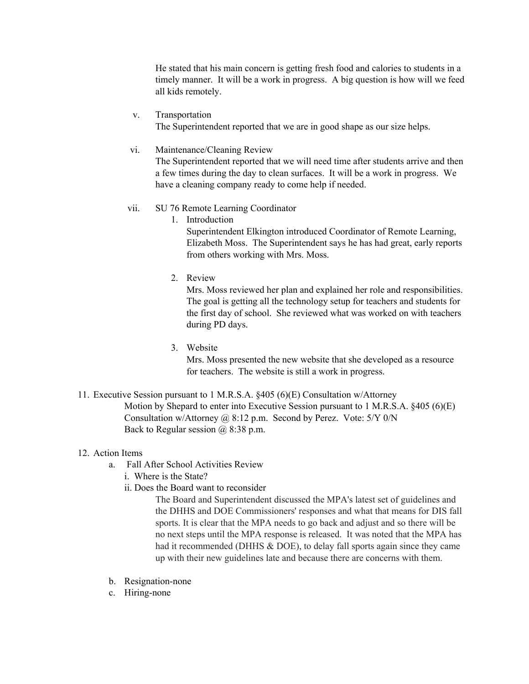He stated that his main concern is getting fresh food and calories to students in a timely manner. It will be a work in progress. A big question is how will we feed all kids remotely.

## v. Transportation

The Superintendent reported that we are in good shape as our size helps.

### vi. Maintenance/Cleaning Review

The Superintendent reported that we will need time after students arrive and then a few times during the day to clean surfaces. It will be a work in progress. We have a cleaning company ready to come help if needed.

#### vii. SU 76 Remote Learning Coordinator

1. Introduction

Superintendent Elkington introduced Coordinator of Remote Learning, Elizabeth Moss. The Superintendent says he has had great, early reports from others working with Mrs. Moss.

2. Review

Mrs. Moss reviewed her plan and explained her role and responsibilities. The goal is getting all the technology setup for teachers and students for the first day of school. She reviewed what was worked on with teachers during PD days.

3. Website

Mrs. Moss presented the new website that she developed as a resource for teachers. The website is still a work in progress.

11. Executive Session pursuant to 1 M.R.S.A. §405 (6)(E) Consultation w/Attorney Motion by Shepard to enter into Executive Session pursuant to 1 M.R.S.A. §405 (6)(E) Consultation w/Attorney @ 8:12 p.m. Second by Perez. Vote: 5/Y 0/N Back to Regular session  $(a)$  8:38 p.m.

#### 12. Action Items

- a. Fall After School Activities Review
	- i. Where is the State?
	- ii. Does the Board want to reconsider

The Board and Superintendent discussed the MPA's latest set of guidelines and the DHHS and DOE Commissioners' responses and what that means for DIS fall sports. It is clear that the MPA needs to go back and adjust and so there will be no next steps until the MPA response is released. It was noted that the MPA has had it recommended (DHHS & DOE), to delay fall sports again since they came up with their new guidelines late and because there are concerns with them.

- b. Resignation-none
- c. Hiring-none